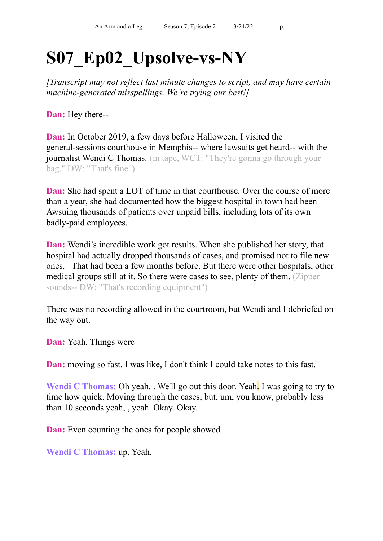## **S07\_Ep02\_Upsolve-vs-NY**

*[Transcript may not reflect last minute changes to script, and may have certain machine-generated misspellings. We're trying our best!]*

**Dan:** Hey there--

**Dan:** In October 2019, a few days before Halloween, I visited the general-sessions courthouse in Memphis-- where lawsuits get heard-- with the journalist Wendi C Thomas. (in tape, WCT: "They're gonna go through your bag." DW: "That's fine")

**Dan:** She had spent a LOT of time in that courthouse. Over the course of more than a year, she had documented how the biggest hospital in town had been Awsuing thousands of patients over unpaid bills, including lots of its own badly-paid employees.

**Dan:** Wendi's incredible work got results. When she published her story, that hospital had actually dropped thousands of cases, and promised not to file new ones. That had been a few months before. But there were other hospitals, other medical groups still at it. So there were cases to see, plenty of them. (Zipper sounds-- DW: "That's recording equipment")

There was no recording allowed in the courtroom, but Wendi and I debriefed on the way out.

**Dan:** Yeah. Things were

**Dan:** moving so fast. I was like, I don't think I could take notes to this fast.

**Wendi C Thomas:** Oh yeah. . We'll go out this door. Yeah. I was going to try to time how quick. Moving through the cases, but, um, you know, probably less than 10 seconds yeah, , yeah. Okay. Okay.

**Dan:** Even counting the ones for people showed

**Wendi C Thomas:** up. Yeah.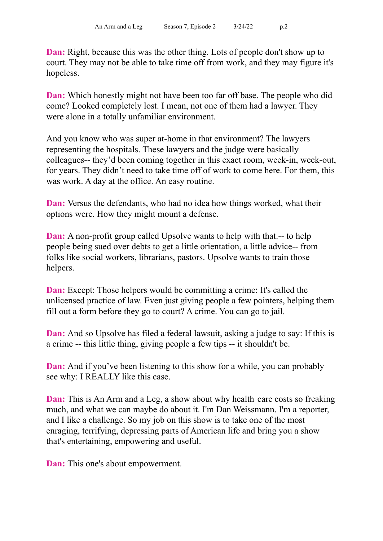**Dan:** Right, because this was the other thing. Lots of people don't show up to court. They may not be able to take time off from work, and they may figure it's hopeless.

**Dan:** Which honestly might not have been too far off base. The people who did come? Looked completely lost. I mean, not one of them had a lawyer. They were alone in a totally unfamiliar environment.

And you know who was super at-home in that environment? The lawyers representing the hospitals. These lawyers and the judge were basically colleagues-- they'd been coming together in this exact room, week-in, week-out, for years. They didn't need to take time off of work to come here. For them, this was work. A day at the office. An easy routine.

**Dan:** Versus the defendants, who had no idea how things worked, what their options were. How they might mount a defense.

**Dan:** A non-profit group called Upsolve wants to help with that.-- to help people being sued over debts to get a little orientation, a little advice-- from folks like social workers, librarians, pastors. Upsolve wants to train those helpers.

**Dan:** Except: Those helpers would be committing a crime: It's called the unlicensed practice of law. Even just giving people a few pointers, helping them fill out a form before they go to court? A crime. You can go to jail.

**Dan:** And so Upsolve has filed a federal lawsuit, asking a judge to say: If this is a crime -- this little thing, giving people a few tips -- it shouldn't be.

**Dan:** And if you've been listening to this show for a while, you can probably see why: I REALLY like this case.

**Dan:** This is An Arm and a Leg, a show about why health care costs so freaking much, and what we can maybe do about it. I'm Dan Weissmann. I'm a reporter, and I like a challenge. So my job on this show is to take one of the most enraging, terrifying, depressing parts of American life and bring you a show that's entertaining, empowering and useful.

**Dan:** This one's about empowerment.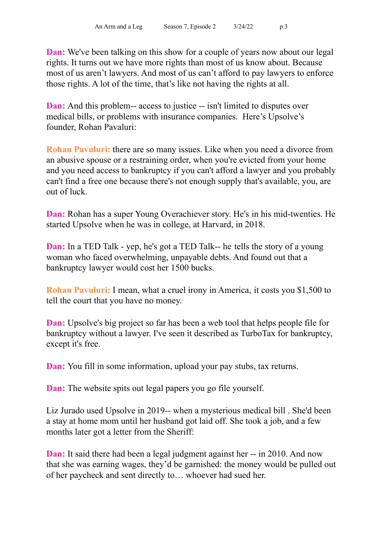**Dan:** We've been talking on this show for a couple of years now about our legal rights. It turns out we have more rights than most of us know about. Because most of us aren't lawyers. And most of us can't afford to pay lawyers to enforce those rights. A lot of the time, that's like not having the rights at all.

**Dan:** And this problem-- access to justice -- isn't limited to disputes over medical bills, or problems with insurance companies. Here's Upsolve's founder, Rohan Pavaluri:

**Rohan Pavuluri:** there are so many issues. Like when you need a divorce from an abusive spouse or a restraining order, when you're evicted from your home and you need access to bankruptcy if you can't afford a lawyer and you probably can't find a free one because there's not enough supply that's available, you, are out of luck.

**Dan:** Rohan has a super Young Overachiever story. He's in his mid-twenties. He started Upsolve when he was in college, at Harvard, in 2018.

**Dan:** In a TED Talk - yep, he's got a TED Talk-- he tells the story of a young woman who faced overwhelming, unpayable debts. And found out that a bankruptcy lawyer would cost her 1500 bucks.

**Rohan Pavuluri:** I mean, what a cruel irony in America, it costs you \$1,500 to tell the court that you have no money.

**Dan:** Upsolve's big project so far has been a web tool that helps people file for bankruptcy without a lawyer. I've seen it described as TurboTax for bankruptcy, except it's free.

**Dan:** You fill in some information, upload your pay stubs, tax returns.

**Dan:** The website spits out legal papers you go file yourself.

Liz Jurado used Upsolve in 2019-- when a mysterious medical bill . She'd been a stay at home mom until her husband got laid off. She took a job, and a few months later got a letter from the Sheriff:

**Dan:** It said there had been a legal judgment against her -- in 2010. And now that she was earning wages, they'd be garnished: the money would be pulled out of her paycheck and sent directly to… whoever had sued her.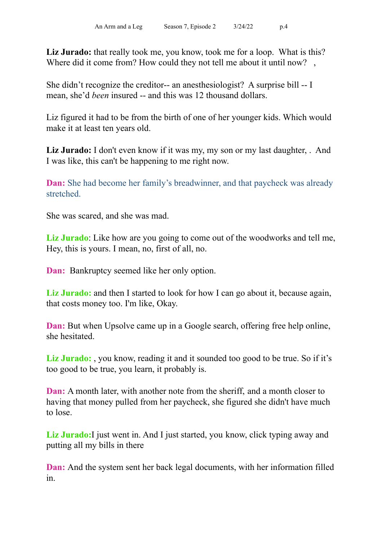**Liz Jurado:** that really took me, you know, took me for a loop. What is this? Where did it come from? How could they not tell me about it until now?,

She didn't recognize the creditor-- an anesthesiologist? A surprise bill -- I mean, she'd *been* insured -- and this was 12 thousand dollars.

Liz figured it had to be from the birth of one of her younger kids. Which would make it at least ten years old.

Liz **Jurado:** I don't even know if it was my, my son or my last daughter, . And I was like, this can't be happening to me right now.

**Dan:** She had become her family's breadwinner, and that paycheck was already stretched.

She was scared, and she was mad.

**Liz Jurado**: Like how are you going to come out of the woodworks and tell me, Hey, this is yours. I mean, no, first of all, no.

**Dan:** Bankruptcy seemed like her only option.

**Liz Jurado:** and then I started to look for how I can go about it, because again, that costs money too. I'm like, Okay.

**Dan:** But when Upsolve came up in a Google search, offering free help online, she hesitated.

**Liz Jurado:** , you know, reading it and it sounded too good to be true. So if it's too good to be true, you learn, it probably is.

**Dan:** A month later, with another note from the sheriff, and a month closer to having that money pulled from her paycheck, she figured she didn't have much to lose.

**Liz Jurado:**I just went in. And I just started, you know, click typing away and putting all my bills in there

**Dan:** And the system sent her back legal documents, with her information filled in.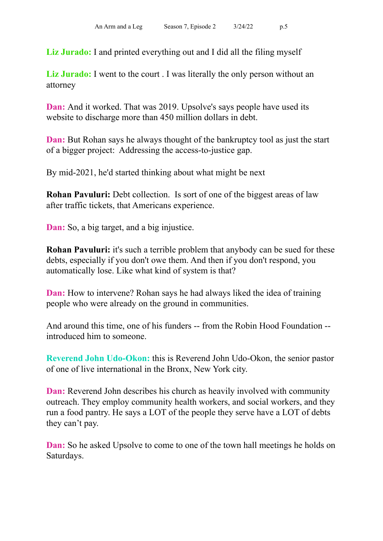**Liz Jurado:** I and printed everything out and I did all the filing myself

**Liz Jurado:** I went to the court . I was literally the only person without an attorney

**Dan:** And it worked. That was 2019. Upsolve's says people have used its website to discharge more than 450 million dollars in debt.

**Dan:** But Rohan says he always thought of the bankruptcy tool as just the start of a bigger project: Addressing the access-to-justice gap.

By mid-2021, he'd started thinking about what might be next

**Rohan Pavuluri:** Debt collection. Is sort of one of the biggest areas of law after traffic tickets, that Americans experience.

**Dan:** So, a big target, and a big injustice.

**Rohan Pavuluri:** it's such a terrible problem that anybody can be sued for these debts, especially if you don't owe them. And then if you don't respond, you automatically lose. Like what kind of system is that?

**Dan:** How to intervene? Rohan says he had always liked the idea of training people who were already on the ground in communities.

And around this time, one of his funders -- from the Robin Hood Foundation - introduced him to someone.

**Reverend John Udo-Okon:** this is Reverend John Udo-Okon, the senior pastor of one of live international in the Bronx, New York city.

**Dan:** Reverend John describes his church as heavily involved with community outreach. They employ community health workers, and social workers, and they run a food pantry. He says a LOT of the people they serve have a LOT of debts they can't pay.

**Dan:** So he asked Upsolve to come to one of the town hall meetings he holds on Saturdays.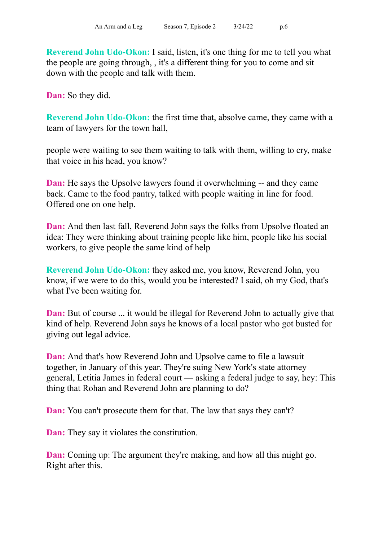**Reverend John Udo-Okon:** I said, listen, it's one thing for me to tell you what the people are going through, , it's a different thing for you to come and sit down with the people and talk with them.

**Dan:** So they did.

**Reverend John Udo-Okon:** the first time that, absolve came, they came with a team of lawyers for the town hall,

people were waiting to see them waiting to talk with them, willing to cry, make that voice in his head, you know?

**Dan:** He says the Upsolve lawyers found it overwhelming -- and they came back. Came to the food pantry, talked with people waiting in line for food. Offered one on one help.

**Dan:** And then last fall, Reverend John says the folks from Upsolve floated an idea: They were thinking about training people like him, people like his social workers, to give people the same kind of help

**Reverend John Udo-Okon:** they asked me, you know, Reverend John, you know, if we were to do this, would you be interested? I said, oh my God, that's what I've been waiting for.

**Dan:** But of course ... it would be illegal for Reverend John to actually give that kind of help. Reverend John says he knows of a local pastor who got busted for giving out legal advice.

**Dan:** And that's how Reverend John and Upsolve came to file a lawsuit together, in January of this year. They're suing New York's state attorney general, Letitia James in federal court — asking a federal judge to say, hey: This thing that Rohan and Reverend John are planning to do?

**Dan:** You can't prosecute them for that. The law that says they can't?

**Dan:** They say it violates the constitution.

**Dan:** Coming up: The argument they're making, and how all this might go. Right after this.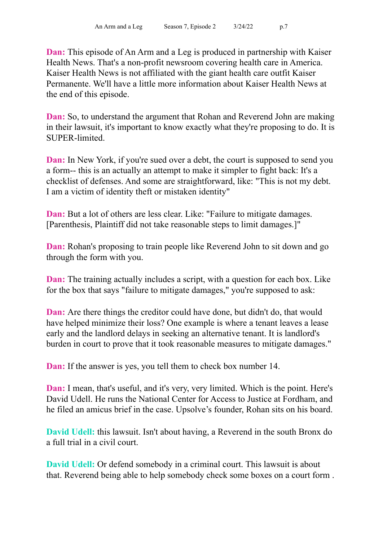**Dan:** This episode of An Arm and a Leg is produced in partnership with Kaiser Health News. That's a non-profit newsroom covering health care in America. Kaiser Health News is not affiliated with the giant health care outfit Kaiser Permanente. We'll have a little more information about Kaiser Health News at the end of this episode.

**Dan:** So, to understand the argument that Rohan and Reverend John are making in their lawsuit, it's important to know exactly what they're proposing to do. It is SUPER-limited.

**Dan:** In New York, if you're sued over a debt, the court is supposed to send you a form-- this is an actually an attempt to make it simpler to fight back: It's a checklist of defenses. And some are straightforward, like: "This is not my debt. I am a victim of identity theft or mistaken identity"

**Dan:** But a lot of others are less clear. Like: "Failure to mitigate damages. [Parenthesis, Plaintiff did not take reasonable steps to limit damages.]"

**Dan:** Rohan's proposing to train people like Reverend John to sit down and go through the form with you.

**Dan:** The training actually includes a script, with a question for each box. Like for the box that says "failure to mitigate damages," you're supposed to ask:

**Dan:** Are there things the creditor could have done, but didn't do, that would have helped minimize their loss? One example is where a tenant leaves a lease early and the landlord delays in seeking an alternative tenant. It is landlord's burden in court to prove that it took reasonable measures to mitigate damages."

**Dan:** If the answer is yes, you tell them to check box number 14.

**Dan:** I mean, that's useful, and it's very, very limited. Which is the point. Here's David Udell. He runs the National Center for Access to Justice at Fordham, and he filed an amicus brief in the case. Upsolve's founder, Rohan sits on his board.

**David Udell:** this lawsuit. Isn't about having, a Reverend in the south Bronx do a full trial in a civil court.

**David Udell:** Or defend somebody in a criminal court. This lawsuit is about that. Reverend being able to help somebody check some boxes on a court form .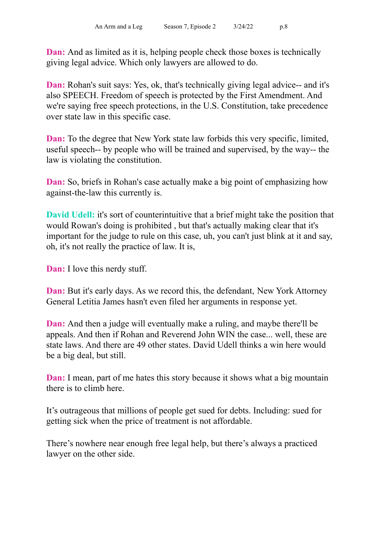**Dan:** And as limited as it is, helping people check those boxes is technically giving legal advice. Which only lawyers are allowed to do.

**Dan:** Rohan's suit says: Yes, ok, that's technically giving legal advice-- and it's also SPEECH. Freedom of speech is protected by the First Amendment. And we're saying free speech protections, in the U.S. Constitution, take precedence over state law in this specific case.

**Dan:** To the degree that New York state law forbids this very specific, limited, useful speech-- by people who will be trained and supervised, by the way-- the law is violating the constitution.

**Dan:** So, briefs in Rohan's case actually make a big point of emphasizing how against-the-law this currently is.

**David Udell:** it's sort of counterintuitive that a brief might take the position that would Rowan's doing is prohibited , but that's actually making clear that it's important for the judge to rule on this case, uh, you can't just blink at it and say, oh, it's not really the practice of law. It is,

**Dan:** I love this nerdy stuff.

**Dan:** But it's early days. As we record this, the defendant, New York Attorney General Letitia James hasn't even filed her arguments in response yet.

**Dan:** And then a judge will eventually make a ruling, and maybe there'll be appeals. And then if Rohan and Reverend John WIN the case... well, these are state laws. And there are 49 other states. David Udell thinks a win here would be a big deal, but still.

**Dan:** I mean, part of me hates this story because it shows what a big mountain there is to climb here.

It's outrageous that millions of people get sued for debts. Including: sued for getting sick when the price of treatment is not affordable.

There's nowhere near enough free legal help, but there's always a practiced lawyer on the other side.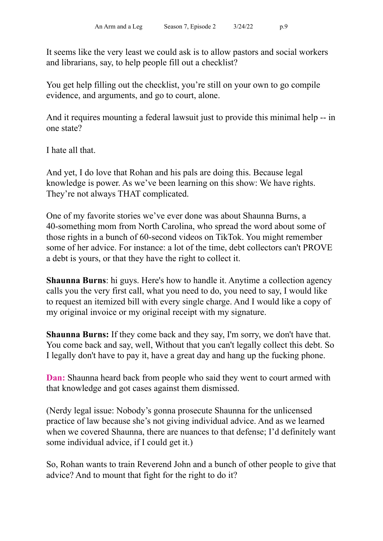It seems like the very least we could ask is to allow pastors and social workers and librarians, say, to help people fill out a checklist?

You get help filling out the checklist, you're still on your own to go compile evidence, and arguments, and go to court, alone.

And it requires mounting a federal lawsuit just to provide this minimal help -- in one state?

I hate all that.

And yet, I do love that Rohan and his pals are doing this. Because legal knowledge is power. As we've been learning on this show: We have rights. They're not always THAT complicated.

One of my favorite stories we've ever done was about Shaunna Burns, a 40-something mom from North Carolina, who spread the word about some of those rights in a bunch of 60-second videos on TikTok. You might remember some of her advice. For instance: a lot of the time, debt collectors can't PROVE a debt is yours, or that they have the right to collect it.

**Shaunna Burns**: hi guys. Here's how to handle it. Anytime a collection agency calls you the very first call, what you need to do, you need to say, I would like to request an itemized bill with every single charge. And I would like a copy of my original invoice or my original receipt with my signature.

**Shaunna Burns:** If they come back and they say, I'm sorry, we don't have that. You come back and say, well, Without that you can't legally collect this debt. So I legally don't have to pay it, have a great day and hang up the fucking phone.

**Dan:** Shaunna heard back from people who said they went to court armed with that knowledge and got cases against them dismissed.

(Nerdy legal issue: Nobody's gonna prosecute Shaunna for the unlicensed practice of law because she's not giving individual advice. And as we learned when we covered Shaunna, there are nuances to that defense; I'd definitely want some individual advice, if I could get it.)

So, Rohan wants to train Reverend John and a bunch of other people to give that advice? And to mount that fight for the right to do it?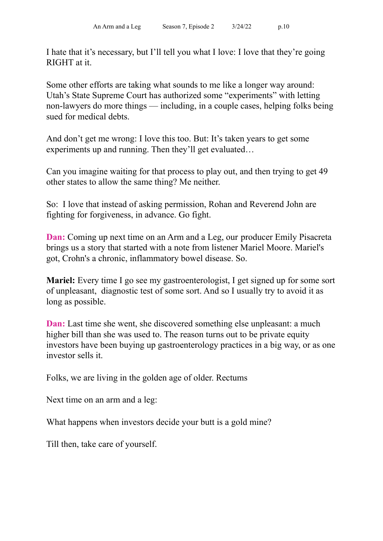I hate that it's necessary, but I'll tell you what I love: I love that they're going RIGHT at it.

Some other efforts are taking what sounds to me like a longer way around: Utah's State Supreme Court has authorized some "experiments" with letting non-lawyers do more things — including, in a couple cases, helping folks being sued for medical debts.

And don't get me wrong: I love this too. But: It's taken years to get some experiments up and running. Then they'll get evaluated…

Can you imagine waiting for that process to play out, and then trying to get 49 other states to allow the same thing? Me neither.

So: I love that instead of asking permission, Rohan and Reverend John are fighting for forgiveness, in advance. Go fight.

**Dan:** Coming up next time on an Arm and a Leg, our producer Emily Pisacreta brings us a story that started with a note from listener Mariel Moore. Mariel's got, Crohn's a chronic, inflammatory bowel disease. So.

**Mariel:** Every time I go see my gastroenterologist, I get signed up for some sort of unpleasant, diagnostic test of some sort. And so I usually try to avoid it as long as possible.

**Dan:** Last time she went, she discovered something else unpleasant: a much higher bill than she was used to. The reason turns out to be private equity investors have been buying up gastroenterology practices in a big way, or as one investor sells it.

Folks, we are living in the golden age of older. Rectums

Next time on an arm and a leg:

What happens when investors decide your butt is a gold mine?

Till then, take care of yourself.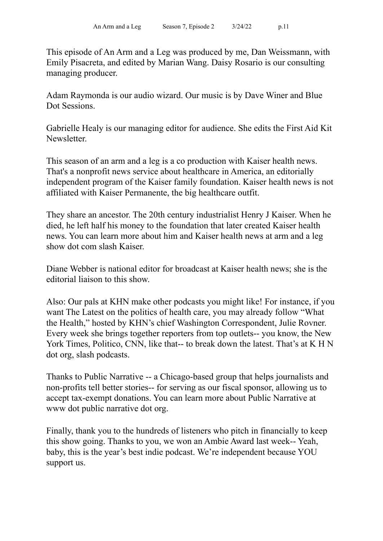This episode of An Arm and a Leg was produced by me, Dan Weissmann, with Emily Pisacreta, and edited by Marian Wang. Daisy Rosario is our consulting managing producer.

Adam Raymonda is our audio wizard. Our music is by Dave Winer and Blue Dot Sessions.

Gabrielle Healy is our managing editor for audience. She edits the First Aid Kit **Newsletter** 

This season of an arm and a leg is a co production with Kaiser health news. That's a nonprofit news service about healthcare in America, an editorially independent program of the Kaiser family foundation. Kaiser health news is not affiliated with Kaiser Permanente, the big healthcare outfit.

They share an ancestor. The 20th century industrialist Henry J Kaiser. When he died, he left half his money to the foundation that later created Kaiser health news. You can learn more about him and Kaiser health news at arm and a leg show dot com slash Kaiser.

Diane Webber is national editor for broadcast at Kaiser health news; she is the editorial liaison to this show.

Also: Our pals at KHN make other podcasts you might like! For instance, if you want The Latest on the politics of health care, you may already follow "What the Health," hosted by KHN's chief Washington Correspondent, Julie Rovner. Every week she brings together reporters from top outlets-- you know, the New York Times, Politico, CNN, like that-- to break down the latest. That's at K H N dot org, slash podcasts.

Thanks to Public Narrative -- a Chicago-based group that helps journalists and non-profits tell better stories-- for serving as our fiscal sponsor, allowing us to accept tax-exempt donations. You can learn more about Public Narrative at www dot public narrative dot org.

Finally, thank you to the hundreds of listeners who pitch in financially to keep this show going. Thanks to you, we won an Ambie Award last week-- Yeah, baby, this is the year's best indie podcast. We're independent because YOU support us.